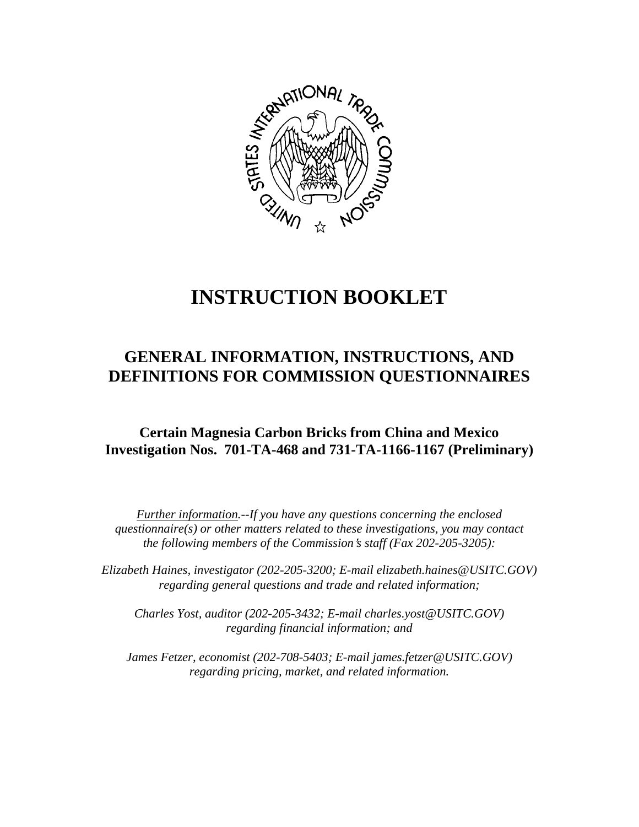

# **INSTRUCTION BOOKLET**

# **GENERAL INFORMATION, INSTRUCTIONS, AND DEFINITIONS FOR COMMISSION QUESTIONNAIRES**

# **Certain Magnesia Carbon Bricks from China and Mexico Investigation Nos. 701-TA-468 and 731-TA-1166-1167 (Preliminary)**

*Further information.--If you have any questions concerning the enclosed questionnaire(s) or other matters related to these investigations, you may contact the following members of the Commission's staff (Fax 202-205-3205):* 

 *Elizabeth Haines, investigator (202-205-3200; E-mail elizabeth.haines@USITC.GOV) regarding general questions and trade and related information;* 

 *Charles Yost, auditor (202-205-3432; E-mail charles.yost@USITC.GOV) regarding financial information; and* 

 *James Fetzer, economist (202-708-5403; E-mail james.fetzer@USITC.GOV) regarding pricing, market, and related information.*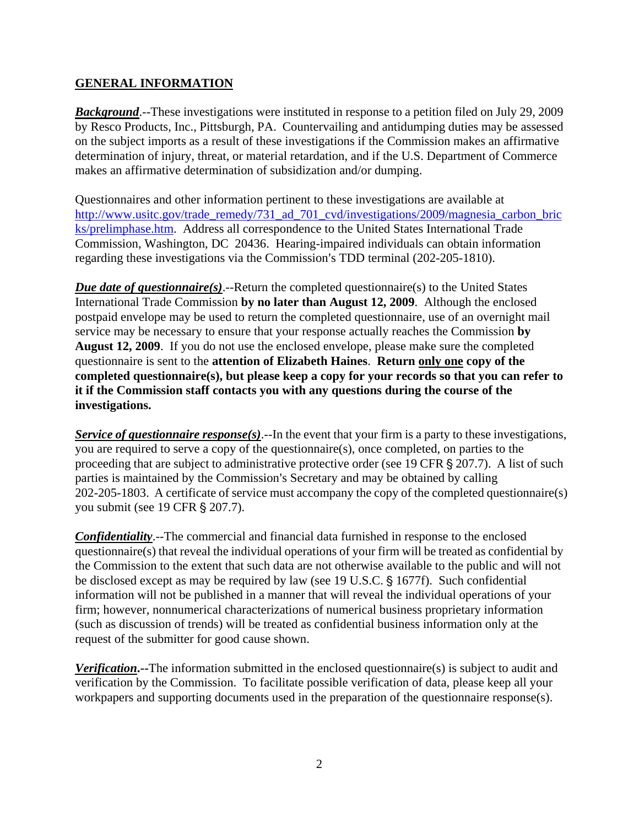#### **GENERAL INFORMATION**

*Background*.--These investigations were instituted in response to a petition filed on July 29, 2009 by Resco Products, Inc., Pittsburgh, PA. Countervailing and antidumping duties may be assessed on the subject imports as a result of these investigations if the Commission makes an affirmative determination of injury, threat, or material retardation, and if the U.S. Department of Commerce makes an affirmative determination of subsidization and/or dumping.

Questionnaires and other information pertinent to these investigations are available at http://www.usitc.gov/trade\_remedy/731\_ad\_701\_cvd/investigations/2009/magnesia\_carbon\_bric ks/prelimphase.htm. Address all correspondence to the United States International Trade Commission, Washington, DC 20436. Hearing-impaired individuals can obtain information regarding these investigations via the Commission's TDD terminal (202-205-1810).

*Due date of questionnaire(s)*.--Return the completed questionnaire(s) to the United States International Trade Commission **by no later than August 12, 2009**. Although the enclosed postpaid envelope may be used to return the completed questionnaire, use of an overnight mail service may be necessary to ensure that your response actually reaches the Commission **by August 12, 2009**. If you do not use the enclosed envelope, please make sure the completed questionnaire is sent to the **attention of Elizabeth Haines**. **Return only one copy of the completed questionnaire(s), but please keep a copy for your records so that you can refer to it if the Commission staff contacts you with any questions during the course of the investigations.**

*Service of questionnaire response(s)*.--In the event that your firm is a party to these investigations, you are required to serve a copy of the questionnaire(s), once completed, on parties to the proceeding that are subject to administrative protective order (see 19 CFR  $\S 207.7$ ). A list of such parties is maintained by the Commission's Secretary and may be obtained by calling 202-205-1803. A certificate of service must accompany the copy of the completed questionnaire(s) you submit (see 19 CFR § 207.7).

*Confidentiality*.--The commercial and financial data furnished in response to the enclosed questionnaire(s) that reveal the individual operations of your firm will be treated as confidential by the Commission to the extent that such data are not otherwise available to the public and will not be disclosed except as may be required by law (see 19 U.S.C.  $\S$  1677f). Such confidential information will not be published in a manner that will reveal the individual operations of your firm; however, nonnumerical characterizations of numerical business proprietary information (such as discussion of trends) will be treated as confidential business information only at the request of the submitter for good cause shown.

*Verification***.--**The information submitted in the enclosed questionnaire(s) is subject to audit and verification by the Commission. To facilitate possible verification of data, please keep all your workpapers and supporting documents used in the preparation of the questionnaire response(s).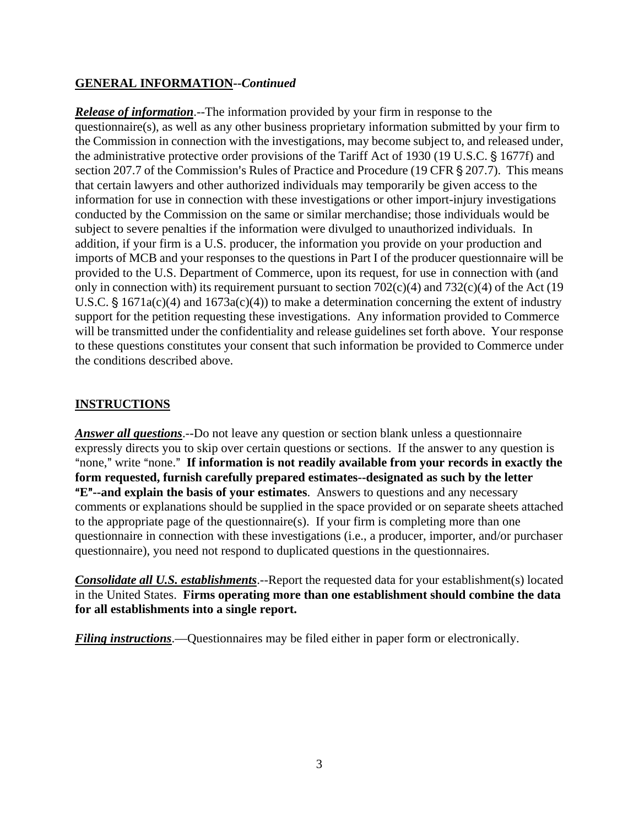#### **GENERAL INFORMATION--***Continued*

*Release of information*.--The information provided by your firm in response to the questionnaire(s), as well as any other business proprietary information submitted by your firm to the Commission in connection with the investigations, may become subject to, and released under, the administrative protective order provisions of the Tariff Act of 1930 (19 U.S.C. § 1677f) and section 207.7 of the Commission's Rules of Practice and Procedure (19 CFR  $\S$  207.7). This means that certain lawyers and other authorized individuals may temporarily be given access to the information for use in connection with these investigations or other import-injury investigations conducted by the Commission on the same or similar merchandise; those individuals would be subject to severe penalties if the information were divulged to unauthorized individuals. In addition, if your firm is a U.S. producer, the information you provide on your production and imports of MCB and your responses to the questions in Part I of the producer questionnaire will be provided to the U.S. Department of Commerce, upon its request, for use in connection with (and only in connection with) its requirement pursuant to section  $702(c)(4)$  and  $732(c)(4)$  of the Act (19 U.S.C.  $\S 1671a(c)(4)$  and  $1673a(c)(4)$  to make a determination concerning the extent of industry support for the petition requesting these investigations. Any information provided to Commerce will be transmitted under the confidentiality and release guidelines set forth above. Your response to these questions constitutes your consent that such information be provided to Commerce under the conditions described above.

## **INSTRUCTIONS**

*Answer all questions*.--Do not leave any question or section blank unless a questionnaire expressly directs you to skip over certain questions or sections. If the answer to any question is "none," write "none." If information is not readily available from your records in exactly the **form requested, furnish carefully prepared estimates--designated as such by the letter E<sup>"</sup>--and explain the basis of your estimates**. Answers to questions and any necessary comments or explanations should be supplied in the space provided or on separate sheets attached to the appropriate page of the questionnaire(s). If your firm is completing more than one questionnaire in connection with these investigations (i.e., a producer, importer, and/or purchaser questionnaire), you need not respond to duplicated questions in the questionnaires.

*Consolidate all U.S. establishments*.--Report the requested data for your establishment(s) located in the United States. **Firms operating more than one establishment should combine the data for all establishments into a single report.**

*Filing instructions*.—Questionnaires may be filed either in paper form or electronically.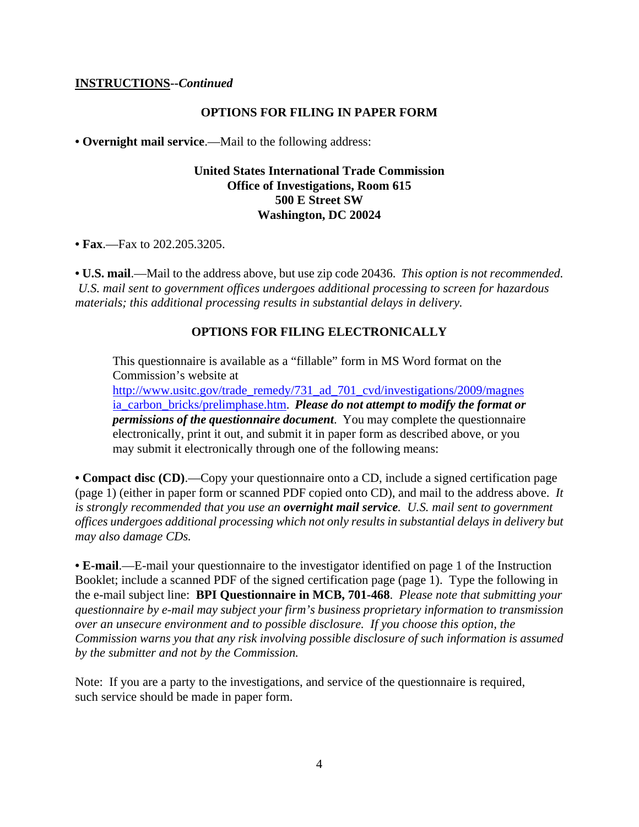#### **INSTRUCTIONS--***Continued*

#### **OPTIONS FOR FILING IN PAPER FORM**

**• Overnight mail service**.—Mail to the following address:

#### **United States International Trade Commission Office of Investigations, Room 615 500 E Street SW Washington, DC 20024**

**• Fax**.—Fax to 202.205.3205.

**• U.S. mail**.—Mail to the address above, but use zip code 20436. *This option is not recommended. U.S. mail sent to government offices undergoes additional processing to screen for hazardous materials; this additional processing results in substantial delays in delivery.* 

#### **OPTIONS FOR FILING ELECTRONICALLY**

This questionnaire is available as a "fillable" form in MS Word format on the Commission's website at

http://www.usitc.gov/trade\_remedy/731\_ad\_701\_cvd/investigations/2009/magnes ia\_carbon\_bricks/prelimphase.htm. *Please do not attempt to modify the format or permissions of the questionnaire document*. You may complete the questionnaire electronically, print it out, and submit it in paper form as described above, or you may submit it electronically through one of the following means:

**• Compact disc (CD)**.—Copy your questionnaire onto a CD, include a signed certification page (page 1) (either in paper form or scanned PDF copied onto CD), and mail to the address above. *It is strongly recommended that you use an overnight mail service. U.S. mail sent to government offices undergoes additional processing which not only results in substantial delays in delivery but may also damage CDs.* 

**• E-mail**.—E-mail your questionnaire to the investigator identified on page 1 of the Instruction Booklet; include a scanned PDF of the signed certification page (page 1). Type the following in the e-mail subject line: **BPI Questionnaire in MCB, 701-468**. *Please note that submitting your questionnaire by e-mail may subject your firm's business proprietary information to transmission over an unsecure environment and to possible disclosure. If you choose this option, the Commission warns you that any risk involving possible disclosure of such information is assumed by the submitter and not by the Commission.* 

Note: If you are a party to the investigations, and service of the questionnaire is required, such service should be made in paper form.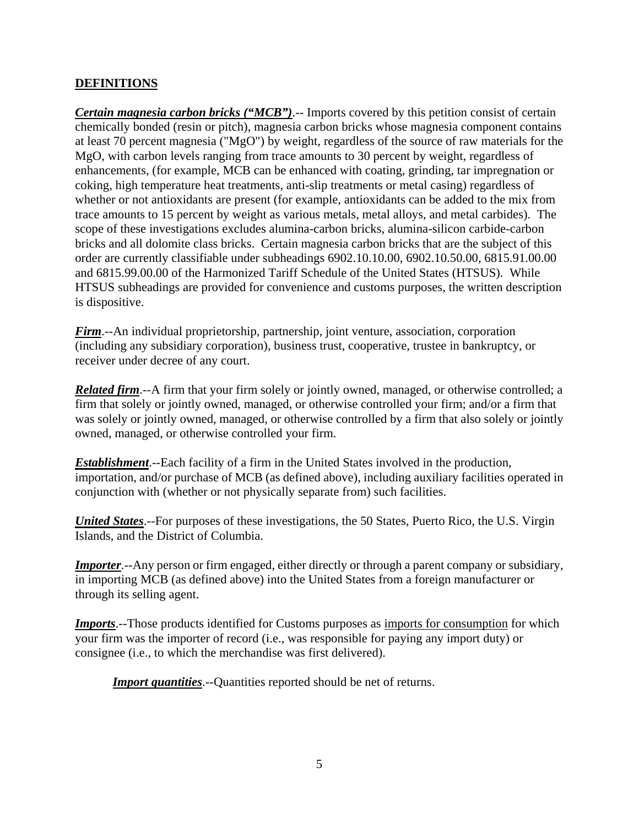## **DEFINITIONS**

*Certain magnesia carbon bricks ("MCB")*.-- Imports covered by this petition consist of certain chemically bonded (resin or pitch), magnesia carbon bricks whose magnesia component contains at least 70 percent magnesia ("MgO") by weight, regardless of the source of raw materials for the MgO, with carbon levels ranging from trace amounts to 30 percent by weight, regardless of enhancements, (for example, MCB can be enhanced with coating, grinding, tar impregnation or coking, high temperature heat treatments, anti-slip treatments or metal casing) regardless of whether or not antioxidants are present (for example, antioxidants can be added to the mix from trace amounts to 15 percent by weight as various metals, metal alloys, and metal carbides). The scope of these investigations excludes alumina-carbon bricks, alumina-silicon carbide-carbon bricks and all dolomite class bricks. Certain magnesia carbon bricks that are the subject of this order are currently classifiable under subheadings 6902.10.10.00, 6902.10.50.00, 6815.91.00.00 and 6815.99.00.00 of the Harmonized Tariff Schedule of the United States (HTSUS). While HTSUS subheadings are provided for convenience and customs purposes, the written description is dispositive.

*Firm*.--An individual proprietorship, partnership, joint venture, association, corporation (including any subsidiary corporation), business trust, cooperative, trustee in bankruptcy, or receiver under decree of any court.

*Related firm*.--A firm that your firm solely or jointly owned, managed, or otherwise controlled; a firm that solely or jointly owned, managed, or otherwise controlled your firm; and/or a firm that was solely or jointly owned, managed, or otherwise controlled by a firm that also solely or jointly owned, managed, or otherwise controlled your firm.

*Establishment*.--Each facility of a firm in the United States involved in the production, importation, and/or purchase of MCB (as defined above), including auxiliary facilities operated in conjunction with (whether or not physically separate from) such facilities.

*United States*.--For purposes of these investigations, the 50 States, Puerto Rico, the U.S. Virgin Islands, and the District of Columbia.

*Importer*.--Any person or firm engaged, either directly or through a parent company or subsidiary, in importing MCB (as defined above) into the United States from a foreign manufacturer or through its selling agent.

**Imports**.--Those products identified for Customs purposes as <u>imports for consumption</u> for which your firm was the importer of record (i.e., was responsible for paying any import duty) or consignee (i.e., to which the merchandise was first delivered).

*Import quantities*.--Quantities reported should be net of returns.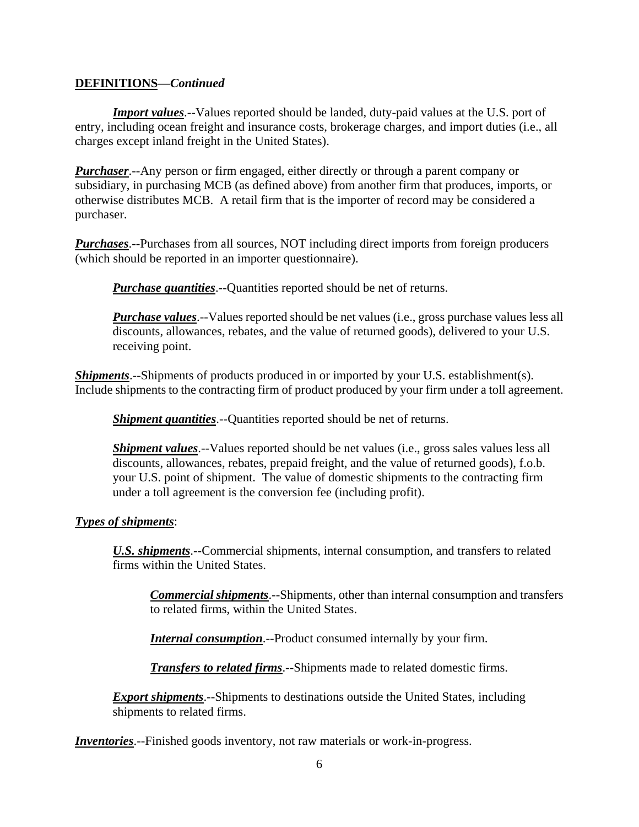#### **DEFINITIONS—***Continued*

*Import values*.--Values reported should be landed, duty-paid values at the U.S. port of entry, including ocean freight and insurance costs, brokerage charges, and import duties (i.e., all charges except inland freight in the United States).

*Purchaser*.--Any person or firm engaged, either directly or through a parent company or subsidiary, in purchasing MCB (as defined above) from another firm that produces, imports, or otherwise distributes MCB. A retail firm that is the importer of record may be considered a purchaser.

*Purchases*.--Purchases from all sources, NOT including direct imports from foreign producers (which should be reported in an importer questionnaire).

*Purchase quantities*.--Quantities reported should be net of returns.

*Purchase values*.--Values reported should be net values (i.e., gross purchase values less all discounts, allowances, rebates, and the value of returned goods), delivered to your U.S. receiving point.

*Shipments*.--Shipments of products produced in or imported by your U.S. establishment(s). Include shipments to the contracting firm of product produced by your firm under a toll agreement.

*Shipment quantities*.--Quantities reported should be net of returns.

*Shipment values*.--Values reported should be net values (*i.e.*, gross sales values less all discounts, allowances, rebates, prepaid freight, and the value of returned goods), f.o.b. your U.S. point of shipment. The value of domestic shipments to the contracting firm under a toll agreement is the conversion fee (including profit).

#### *Types of shipments*:

*U.S. shipments*.--Commercial shipments, internal consumption, and transfers to related firms within the United States.

*Commercial shipments*.--Shipments, other than internal consumption and transfers to related firms, within the United States.

*Internal consumption*.--Product consumed internally by your firm.

*Transfers to related firms*.--Shipments made to related domestic firms.

*Export shipments*.--Shipments to destinations outside the United States, including shipments to related firms.

*Inventories*.--Finished goods inventory, not raw materials or work-in-progress.